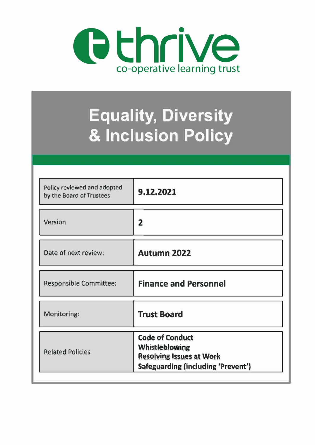

# **Equality, Diversity & Inclusion Policy**

| Policy reviewed and adopted<br>by the Board of Trustees | 9.12.2021                                                                                                                |
|---------------------------------------------------------|--------------------------------------------------------------------------------------------------------------------------|
| Version                                                 | 2                                                                                                                        |
| Date of next review:                                    | <b>Autumn 2022</b>                                                                                                       |
| Responsible Committee:                                  | <b>Finance and Personnel</b>                                                                                             |
| Monitoring:                                             | <b>Trust Board</b>                                                                                                       |
| <b>Related Policies</b>                                 | <b>Code of Conduct</b><br><b>Whistleblowing</b><br><b>Resolving Issues at Work</b><br>Safeguarding (including 'Prevent') |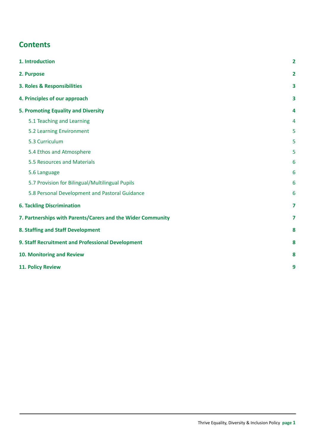# **Contents**

| 1. Introduction                                             | $\overline{2}$          |
|-------------------------------------------------------------|-------------------------|
| 2. Purpose                                                  | 2                       |
| 3. Roles & Responsibilities                                 | 3                       |
| 4. Principles of our approach                               | 3                       |
| 5. Promoting Equality and Diversity                         | 4                       |
| 5.1 Teaching and Learning                                   | 4                       |
| 5.2 Learning Environment                                    | 5                       |
| 5.3 Curriculum                                              | 5                       |
| 5.4 Ethos and Atmosphere                                    | 5                       |
| 5.5 Resources and Materials                                 | 6                       |
| 5.6 Language                                                | 6                       |
| 5.7 Provision for Bilingual/Multilingual Pupils             | 6                       |
| 5.8 Personal Development and Pastoral Guidance              | 6                       |
| <b>6. Tackling Discrimination</b>                           | $\overline{\mathbf{z}}$ |
| 7. Partnerships with Parents/Carers and the Wider Community |                         |
| 8. Staffing and Staff Development                           | 8                       |
| 9. Staff Recruitment and Professional Development           |                         |
| 10. Monitoring and Review                                   |                         |
| 11. Policy Review                                           | 9                       |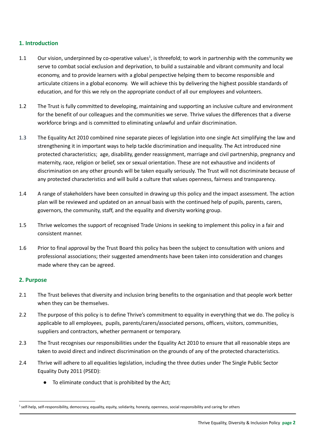# <span id="page-2-0"></span>**1. Introduction**

- 1.1 Our vision, underpinned by co-operative values<sup>1</sup>, is threefold; to work in partnership with the community we serve to combat social exclusion and deprivation, to build a sustainable and vibrant community and local economy, and to provide learners with a global perspective helping them to become responsible and articulate citizens in a global economy. We will achieve this by delivering the highest possible standards of education, and for this we rely on the appropriate conduct of all our employees and volunteers.
- 1.2 The Trust is fully committed to developing, maintaining and supporting an inclusive culture and environment for the benefit of our colleagues and the communities we serve. Thrive values the differences that a diverse workforce brings and is committed to eliminating unlawful and unfair discrimination.
- 1.3 The Equality Act 2010 combined nine separate pieces of legislation into one single Act simplifying the law and strengthening it in important ways to help tackle discrimination and inequality. The Act introduced nine protected characteristics; age, disability, gender reassignment, marriage and civil partnership, pregnancy and maternity, race, religion or belief, sex or sexual orientation. These are not exhaustive and incidents of discrimination on any other grounds will be taken equally seriously. The Trust will not discriminate because of any protected characteristics and will build a culture that values openness, fairness and transparency.
- 1.4 A range of stakeholders have been consulted in drawing up this policy and the impact assessment. The action plan will be reviewed and updated on an annual basis with the continued help of pupils, parents, carers, governors, the community, staff, and the equality and diversity working group.
- 1.5 Thrive welcomes the support of recognised Trade Unions in seeking to implement this policy in a fair and consistent manner.
- 1.6 Prior to final approval by the Trust Board this policy has been the subject to consultation with unions and professional associations; their suggested amendments have been taken into consideration and changes made where they can be agreed.

# <span id="page-2-1"></span>**2. Purpose**

- 2.1 The Trust believes that diversity and inclusion bring benefits to the organisation and that people work better when they can be themselves.
- 2.2 The purpose of this policy is to define Thrive's commitment to equality in everything that we do. The policy is applicable to all employees, pupils, parents/carers/associated persons, officers, visitors, communities, suppliers and contractors, whether permanent or temporary.
- 2.3 The Trust recognises our responsibilities under the Equality Act 2010 to ensure that all reasonable steps are taken to avoid direct and indirect discrimination on the grounds of any of the protected characteristics.
- 2.4 Thrive will adhere to all equalities legislation, including the three duties under The Single Public Sector Equality Duty 2011 (PSED):
	- To eliminate conduct that is prohibited by the Act;

<sup>&</sup>lt;sup>1</sup> self-help, self-responsibility, democracy, equality, equity, solidarity, honesty, openness, social responsibility and caring for others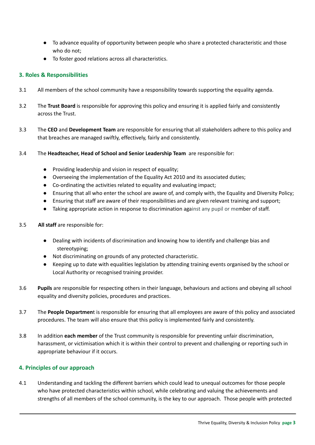- To advance equality of opportunity between people who share a protected characteristic and those who do not;
- To foster good relations across all characteristics.

# <span id="page-3-0"></span>**3. Roles & Responsibilities**

- 3.1 All members of the school community have a responsibility towards supporting the equality agenda.
- 3.2 The **Trust Board** is responsible for approving this policy and ensuring it is applied fairly and consistently across the Trust.
- 3.3 The **CEO** and **Development Team** are responsible for ensuring that all stakeholders adhere to this policy and that breaches are managed swiftly, effectively, fairly and consistently.
- 3.4 The **Headteacher, Head of School and Senior Leadership Team** are responsible for:
	- Providing leadership and vision in respect of equality;
	- Overseeing the implementation of the Equality Act 2010 and its associated duties;
	- Co-ordinating the activities related to equality and evaluating impact;
	- Ensuring that all who enter the school are aware of, and comply with, the Equality and Diversity Policy;
	- Ensuring that staff are aware of their responsibilities and are given relevant training and support;
	- Taking appropriate action in response to discrimination against any pupil or member of staff.
- 3.5 **All staff** are responsible for:
	- Dealing with incidents of discrimination and knowing how to identify and challenge bias and stereotyping;
	- Not discriminating on grounds of any protected characteristic.
	- Keeping up to date with equalities legislation by attending training events organised by the school or Local Authority or recognised training provider.
- 3.6 **Pupils** are responsible for respecting others in their language, behaviours and actions and obeying all school equality and diversity policies, procedures and practices.
- 3.7 The **People Departmen**t is responsible for ensuring that all employees are aware of this policy and associated procedures. The team will also ensure that this policy is implemented fairly and consistently.
- 3.8 In addition **each member** of the Trust community is responsible for preventing unfair discrimination, harassment, or victimisation which it is within their control to prevent and challenging or reporting such in appropriate behaviour if it occurs.

# <span id="page-3-1"></span>**4. Principles of our approach**

4.1 Understanding and tackling the different barriers which could lead to unequal outcomes for those people who have protected characteristics within school, while celebrating and valuing the achievements and strengths of all members of the school community, is the key to our approach. Those people with protected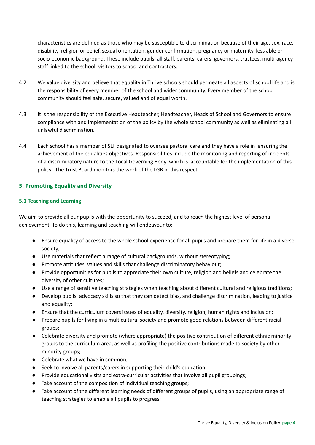characteristics are defined as those who may be susceptible to discrimination because of their age, sex, race, disability, religion or belief, sexual orientation, gender confirmation, pregnancy or maternity, less able or socio‐economic background. These include pupils, all staff, parents, carers, governors, trustees, multi‐agency staff linked to the school, visitors to school and contractors.

- 4.2 We value diversity and believe that equality in Thrive schools should permeate all aspects of school life and is the responsibility of every member of the school and wider community. Every member of the school community should feel safe, secure, valued and of equal worth.
- 4.3 It is the responsibility of the Executive Headteacher, Headteacher, Heads of School and Governors to ensure compliance with and implementation of the policy by the whole school community as well as eliminating all unlawful discrimination.
- 4.4 Each school has a member of SLT designated to oversee pastoral care and they have a role in ensuring the achievement of the equalities objectives. Responsibilities include the monitoring and reporting of incidents of a discriminatory nature to the Local Governing Body which is accountable for the implementation of this policy. The Trust Board monitors the work of the LGB in this respect.

# <span id="page-4-0"></span>**5. Promoting Equality and Diversity**

# <span id="page-4-1"></span>**5.1 Teaching and Learning**

We aim to provide all our pupils with the opportunity to succeed, and to reach the highest level of personal achievement. To do this, learning and teaching will endeavour to:

- Ensure equality of access to the whole school experience for all pupils and prepare them for life in a diverse society;
- Use materials that reflect a range of cultural backgrounds, without stereotyping;
- Promote attitudes, values and skills that challenge discriminatory behaviour;
- Provide opportunities for pupils to appreciate their own culture, religion and beliefs and celebrate the diversity of other cultures;
- Use a range of sensitive teaching strategies when teaching about different cultural and religious traditions;
- Develop pupils' advocacy skills so that they can detect bias, and challenge discrimination, leading to justice and equality;
- Ensure that the curriculum covers issues of equality, diversity, religion, human rights and inclusion;
- Prepare pupils for living in a multicultural society and promote good relations between different racial groups;
- Celebrate diversity and promote (where appropriate) the positive contribution of different ethnic minority groups to the curriculum area, as well as profiling the positive contributions made to society by other minority groups;
- Celebrate what we have in common;
- Seek to involve all parents/carers in supporting their child's education;
- Provide educational visits and extra-curricular activities that involve all pupil groupings;
- Take account of the composition of individual teaching groups;
- Take account of the different learning needs of different groups of pupils, using an appropriate range of teaching strategies to enable all pupils to progress;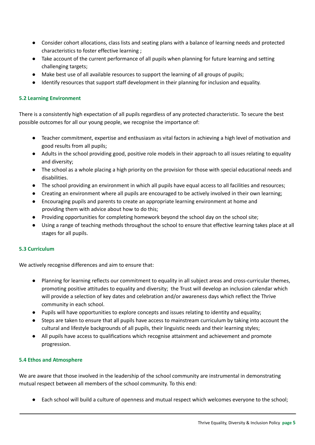- Consider cohort allocations, class lists and seating plans with a balance of learning needs and protected characteristics to foster effective learning ;
- Take account of the current performance of all pupils when planning for future learning and setting challenging targets;
- Make best use of all available resources to support the learning of all groups of pupils;
- Identify resources that support staff development in their planning for inclusion and equality.

## <span id="page-5-0"></span>**5.2 Learning Environment**

There is a consistently high expectation of all pupils regardless of any protected characteristic. To secure the best possible outcomes for all our young people, we recognise the importance of:

- Teacher commitment, expertise and enthusiasm as vital factors in achieving a high level of motivation and good results from all pupils;
- Adults in the school providing good, positive role models in their approach to all issues relating to equality and diversity;
- The school as a whole placing a high priority on the provision for those with special educational needs and disabilities.
- The school providing an environment in which all pupils have equal access to all facilities and resources;
- Creating an environment where all pupils are encouraged to be actively involved in their own learning;
- Encouraging pupils and parents to create an appropriate learning environment at home and providing them with advice about how to do this;
- Providing opportunities for completing homework beyond the school day on the school site;
- Using a range of teaching methods throughout the school to ensure that effective learning takes place at all stages for all pupils.

#### <span id="page-5-1"></span>**5.3 Curriculum**

We actively recognise differences and aim to ensure that:

- Planning for learning reflects our commitment to equality in all subject areas and cross-curricular themes, promoting positive attitudes to equality and diversity; the Trust will develop an inclusion calendar which will provide a selection of key dates and celebration and/or awareness days which reflect the Thrive community in each school.
- Pupils will have opportunities to explore concepts and issues relating to identity and equality;
- Steps are taken to ensure that all pupils have access to mainstream curriculum by taking into account the cultural and lifestyle backgrounds of all pupils, their linguistic needs and their learning styles;
- All pupils have access to qualifications which recognise attainment and achievement and promote progression.

#### <span id="page-5-2"></span>**5.4 Ethos and Atmosphere**

We are aware that those involved in the leadership of the school community are instrumental in demonstrating mutual respect between all members of the school community. To this end:

● Each school will build a culture of openness and mutual respect which welcomes everyone to the school;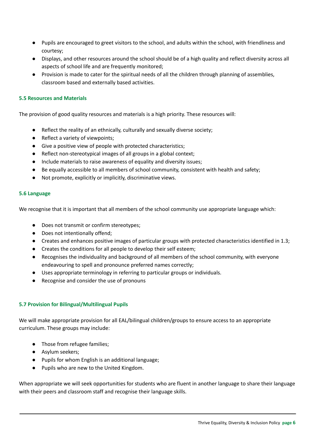- Pupils are encouraged to greet visitors to the school, and adults within the school, with friendliness and courtesy;
- Displays, and other resources around the school should be of a high quality and reflect diversity across all aspects of school life and are frequently monitored;
- Provision is made to cater for the spiritual needs of all the children through planning of assemblies, classroom based and externally based activities.

#### <span id="page-6-0"></span>**5.5 Resources and Materials**

The provision of good quality resources and materials is a high priority. These resources will:

- Reflect the reality of an ethnically, culturally and sexually diverse society;
- Reflect a variety of viewpoints;
- Give a positive view of people with protected characteristics;
- Reflect non-stereotypical images of all groups in a global context;
- Include materials to raise awareness of equality and diversity issues;
- Be equally accessible to all members of school community, consistent with health and safety;
- Not promote, explicitly or implicitly, discriminative views.

#### <span id="page-6-1"></span>**5.6 Language**

We recognise that it is important that all members of the school community use appropriate language which:

- Does not transmit or confirm stereotypes;
- Does not intentionally offend;
- Creates and enhances positive images of particular groups with protected characteristics identified in 1.3;
- Creates the conditions for all people to develop their self esteem;
- Recognises the individuality and background of all members of the school community, with everyone endeavouring to spell and pronounce preferred names correctly;
- Uses appropriate terminology in referring to particular groups or individuals.
- Recognise and consider the use of pronouns

# <span id="page-6-2"></span>**5.7 Provision for Bilingual/Multilingual Pupils**

We will make appropriate provision for all EAL/bilingual children/groups to ensure access to an appropriate curriculum. These groups may include:

- Those from refugee families;
- Asylum seekers;
- Pupils for whom English is an additional language;
- Pupils who are new to the United Kingdom.

When appropriate we will seek opportunities for students who are fluent in another language to share their language with their peers and classroom staff and recognise their language skills.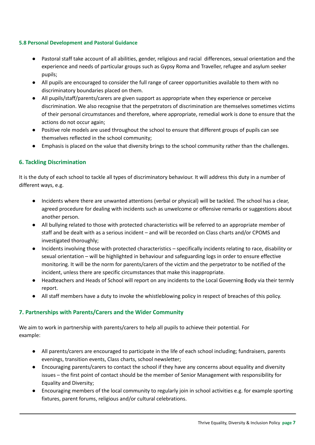#### <span id="page-7-0"></span>**5.8 Personal Development and Pastoral Guidance**

- Pastoral staff take account of all abilities, gender, religious and racial differences, sexual orientation and the experience and needs of particular groups such as Gypsy Roma and Traveller, refugee and asylum seeker pupils;
- All pupils are encouraged to consider the full range of career opportunities available to them with no discriminatory boundaries placed on them.
- All pupils/staff/parents/carers are given support as appropriate when they experience or perceive discrimination. We also recognise that the perpetrators of discrimination are themselves sometimes victims of their personal circumstances and therefore, where appropriate, remedial work is done to ensure that the actions do not occur again;
- Positive role models are used throughout the school to ensure that different groups of pupils can see themselves reflected in the school community;
- Emphasis is placed on the value that diversity brings to the school community rather than the challenges.

# <span id="page-7-1"></span>**6. Tackling Discrimination**

It is the duty of each school to tackle all types of discriminatory behaviour. It will address this duty in a number of different ways, e.g.

- Incidents where there are unwanted attentions (verbal or physical) will be tackled. The school has a clear, agreed procedure for dealing with incidents such as unwelcome or offensive remarks or suggestions about another person.
- All bullying related to those with protected characteristics will be referred to an appropriate member of staff and be dealt with as a serious incident – and will be recorded on Class charts and/or CPOMS and investigated thoroughly;
- Incidents involving those with protected characteristics specifically incidents relating to race, disability or sexual orientation – will be highlighted in behaviour and safeguarding logs in order to ensure effective monitoring. It will be the norm for parents/carers of the victim and the perpetrator to be notified of the incident, unless there are specific circumstances that make this inappropriate.
- Headteachers and Heads of School will report on any incidents to the Local Governing Body via their termly report.
- All staff members have a duty to invoke the whistleblowing policy in respect of breaches of this policy.

# <span id="page-7-2"></span>**7. Partnerships with Parents/Carers and the Wider Community**

We aim to work in partnership with parents/carers to help all pupils to achieve their potential. For example:

- All parents/carers are encouraged to participate in the life of each school including; fundraisers, parents evenings, transition events, Class charts, school newsletter;
- Encouraging parents/carers to contact the school if they have any concerns about equality and diversity issues – the first point of contact should be the member of Senior Management with responsibility for Equality and Diversity;
- Encouraging members of the local community to regularly join in school activities e.g. for example sporting fixtures, parent forums, religious and/or cultural celebrations.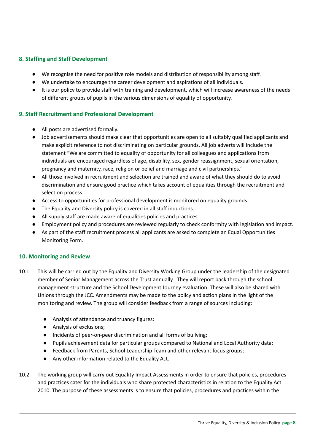# <span id="page-8-0"></span>**8. Staffing and Staff Development**

- We recognise the need for positive role models and distribution of responsibility among staff.
- We undertake to encourage the career development and aspirations of all individuals.
- It is our policy to provide staff with training and development, which will increase awareness of the needs of different groups of pupils in the various dimensions of equality of opportunity.

# <span id="page-8-1"></span>**9. Staff Recruitment and Professional Development**

- All posts are advertised formally.
- Job advertisements should make clear that opportunities are open to all suitably qualified applicants and make explicit reference to not discriminating on particular grounds. All job adverts will include the statement "We are committed to equality of opportunity for all colleagues and applications from individuals are encouraged regardless of age, disability, sex, gender reassignment, sexual orientation, pregnancy and maternity, race, religion or belief and marriage and civil partnerships."
- All those involved in recruitment and selection are trained and aware of what they should do to avoid discrimination and ensure good practice which takes account of equalities through the recruitment and selection process.
- Access to opportunities for professional development is monitored on equality grounds.
- The Equality and Diversity policy is covered in all staff inductions.
- All supply staff are made aware of equalities policies and practices.
- Employment policy and procedures are reviewed regularly to check conformity with legislation and impact.
- As part of the staff recruitment process all applicants are asked to complete an Equal Opportunities Monitoring Form.

# <span id="page-8-2"></span>**10. Monitoring and Review**

- 10.1 This will be carried out by the Equality and Diversity Working Group under the leadership of the designated member of Senior Management across the Trust annually . They will report back through the school management structure and the School Development Journey evaluation. These will also be shared with Unions through the JCC. Amendments may be made to the policy and action plans in the light of the monitoring and review. The group will consider feedback from a range of sources including:
	- Analysis of attendance and truancy figures;
	- Analysis of exclusions;
	- Incidents of peer-on-peer discrimination and all forms of bullying;
	- Pupils achievement data for particular groups compared to National and Local Authority data;
	- Feedback from Parents, School Leadership Team and other relevant focus groups;
	- Any other information related to the Equality Act.
- 10.2 The working group will carry out Equality Impact Assessments in order to ensure that policies, procedures and practices cater for the individuals who share protected characteristics in relation to the Equality Act 2010. The purpose of these assessments is to ensure that policies, procedures and practices within the